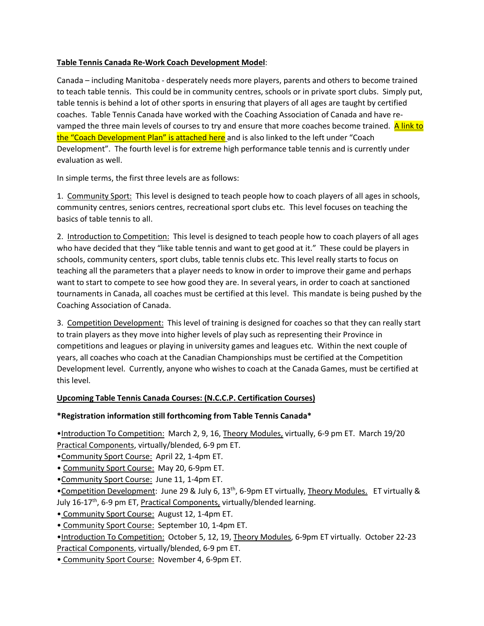## **Table Tennis Canada Re-Work Coach Development Model**:

Canada – including Manitoba - desperately needs more players, parents and others to become trained to teach table tennis. This could be in community centres, schools or in private sport clubs. Simply put, table tennis is behind a lot of other sports in ensuring that players of all ages are taught by certified coaches. Table Tennis Canada have worked with the Coaching Association of Canada and have revamped the three main levels of courses to try and ensure that more coaches become trained. A link to the "Coach Development Plan" is attached here and is also linked to the left under "Coach Development". The fourth level is for extreme high performance table tennis and is currently under evaluation as well.

In simple terms, the first three levels are as follows:

1. Community Sport: This level is designed to teach people how to coach players of all ages in schools, community centres, seniors centres, recreational sport clubs etc. This level focuses on teaching the basics of table tennis to all.

2. Introduction to Competition: This level is designed to teach people how to coach players of all ages who have decided that they "like table tennis and want to get good at it." These could be players in schools, community centers, sport clubs, table tennis clubs etc. This level really starts to focus on teaching all the parameters that a player needs to know in order to improve their game and perhaps want to start to compete to see how good they are. In several years, in order to coach at sanctioned tournaments in Canada, all coaches must be certified at this level. This mandate is being pushed by the Coaching Association of Canada.

3. Competition Development: This level of training is designed for coaches so that they can really start to train players as they move into higher levels of play such as representing their Province in competitions and leagues or playing in university games and leagues etc. Within the next couple of years, all coaches who coach at the Canadian Championships must be certified at the Competition Development level. Currently, anyone who wishes to coach at the Canada Games, must be certified at this level.

## **Upcoming Table Tennis Canada Courses: (N.C.C.P. Certification Courses)**

## **\*Registration information still forthcoming from Table Tennis Canada\***

•Introduction To Competition: March 2, 9, 16, Theory Modules, virtually, 6-9 pm ET. March 19/20 Practical Components, virtually/blended, 6-9 pm ET.

- •Community Sport Course: April 22, 1-4pm ET.
- Community Sport Course: May 20, 6-9pm ET.
- •Community Sport Course: June 11, 1-4pm ET.

•Competition Development: June 29 & July 6, 13<sup>th</sup>, 6-9pm ET virtually, Theory Modules. ET virtually & July 16-17<sup>th</sup>, 6-9 pm ET, Practical Components, virtually/blended learning.

• Community Sport Course: August 12, 1-4pm ET.

• Community Sport Course: September 10, 1-4pm ET.

•Introduction To Competition: October 5, 12, 19, Theory Modules, 6-9pm ET virtually. October 22-23 Practical Components, virtually/blended, 6-9 pm ET.

• Community Sport Course: November 4, 6-9pm ET.